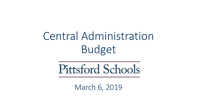# Central Administration Budget

Pittsford Schools

March 6, 2019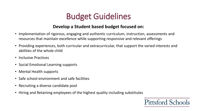#### **Develop a Student based budget focused on:**

- Implementation of rigorous, engaging and authentic curriculum, instruction, assessments and resources that maintain excellence while supporting responsive and relevant offerings
- Providing experiences, both curricular and extracurricular, that support the varied interests and abilities of the whole child
- Inclusive Practices
- Social Emotional Learning supports
- Mental Health supports
- Safe school environment and safe facilities
- Recruiting a diverse candidate pool
- Hiring and Retaining employees of the highest quality including substitutes

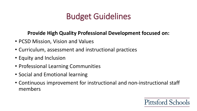#### **Provide High Quality Professional Development focused on:**

- PCSD Mission, Vision and Values
- Curriculum, assessment and instructional practices
- Equity and Inclusion
- Professional Learning Communities
- Social and Emotional learning
- Continuous improvement for instructional and non-instructional staff members

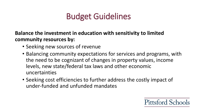**Balance the investment in education with sensitivity to limited community resources by:** 

- Seeking new sources of revenue
- Balancing community expectations for services and programs, with the need to be cognizant of changes in property values, income levels, new state/federal tax laws and other economic uncertainties
- Seeking cost efficiencies to further address the costly impact of under-funded and unfunded mandates

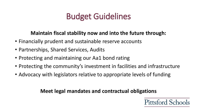#### **Maintain fiscal stability now and into the future through:**

- Financially prudent and sustainable reserve accounts
- Partnerships, Shared Services, Audits
- Protecting and maintaining our Aa1 bond rating
- Protecting the community's investment in facilities and infrastructure
- Advocacy with legislators relative to appropriate levels of funding

#### **Meet legal mandates and contractual obligations**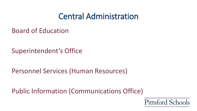#### Central Administration

Board of Education

Superintendent's Office

Personnel Services (Human Resources)

Public Information (Communications Office)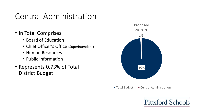#### Central Administration

- In Total Comprises
	- Board of Education
	- Chief Officer's Office (Superintendent)
	- Human Resources
	- Public Information
- Represents 0.73% of Total District Budget



■ Total Budget ■ Central Administration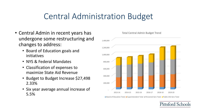### Central Administration Budget

- Central Admin in recent years has undergone some restructuring and changes to address:
	- Board of Education goals and initiatives
	- NYS & Federal Mandates
	- Classification of expenses to maximize State Aid Revenue
	- Budget to Budget Increase \$27,498 2.33%
	- Six year average annual increase of 5.5%



Total Central Admin Budget Trend

■ Board of Education Total ■ Superintendent Total ■ Personnel Serv Total ■ Public Info Serv Total

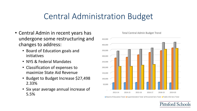### Central Administration Budget

- Central Admin in recent years has undergone some restructuring and changes to address:
	- Board of Education goals and initiatives
	- NYS & Federal Mandates
	- Classification of expenses to maximize State Aid Revenue
	- Budget to Budget Increase \$27,498 2.33%
	- Six year average annual increase of 5.5%



Total Central Admin Budget Trend

■ Board of Education Total ■ Superintendent Total ■ Personnel Serv Total ■ Public Info Serv Total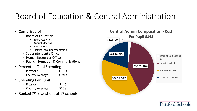# Board of Education & Central Administration

- Comprised of
	- Board of Education
		- Board Activities
		- Annual Meeting
		- Board Clerk
		- District Legal Representation
	- Superintendent's Office
	- Human Resources Office
	- Public Information & Communications
- Percent of Total Spending
	- Pittsford 0.73%
	- County Average 0.91%
- Spending Per Pupil
	- Pittsford \$145
	- County Average \$173
- Ranked  $7<sup>th</sup>$  lowest out of 17 schools



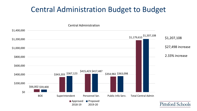#### Central Administration Budget to Budget

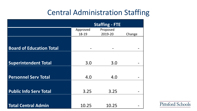#### Central Administration Staffing

|                                 |          | <b>Staffing - FTE</b> |        |
|---------------------------------|----------|-----------------------|--------|
|                                 | Approved | Proposed<br>2019-20   |        |
|                                 | 18-19    |                       | Change |
| <b>Board of Education Total</b> |          |                       |        |
|                                 |          |                       |        |
| <b>Superintendent Total</b>     | 3.0      | 3.0                   |        |
|                                 |          |                       |        |
| <b>Personnel Serv Total</b>     | 4.0      | 4.0                   |        |
|                                 |          |                       |        |
| <b>Public Info Serv Total</b>   | 3.25     | 3.25                  |        |
|                                 |          |                       |        |
| <b>Total Central Admin</b>      | 10.25    | 10.25                 |        |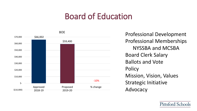### Board of Education



Professional Memberships NYSSBA and MCSBA Board Clerk Salary Ballots and Vote **Policy** Mission, Vision, Values Strategic Initiative Advocacy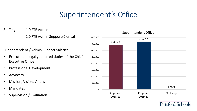#### Superintendent's Office

Staffing: 1.0 FTE Admin

2.0 FTE Admin Support/Clerical

Superintendent / Admin Support Salaries

- Execute the legally required duties of the Chief Executive Office
- Professional Development
- Advocacy
- Mission, Vision, Values
- Mandates
- Supervision / Evaluation

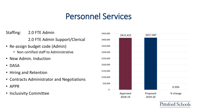### Personnel Services

- Staffing: 2.0 FTE Admin 2.0 FTE Admin Support/Clerical
- Re-assign budget code (Admin)
	- Non certified staff to Administrative
- New Admin. Induction
- DASA
- Hiring and Retention
- Contracts Administrator and Negotiations
- APPR
- Inclusivity Committee

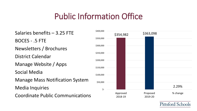### Public Information Office

Salaries benefits – 3.25 FTE BOCES - .5 FTE Newsletters / Brochures District Calendar Manage Website / Apps Social Media Manage Mass Notification System Media Inquiries Coordinate Public Communications